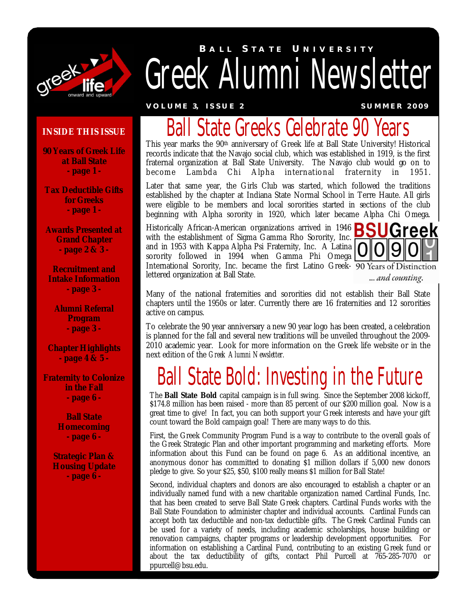

# *Greek Alumni Newsletter* **B A L L S T A T E U N I V E R S I T Y**

**V O L U M E 3, I S S U E 2 S U M M E R 2 0 0 9**

#### **INSIDE THIS ISSUE**

**90 Years of Greek Life at Ball State - page 1 -**

**Tax Deductible Gifts for Greeks - page 1 -**

**Awards Presented at Grand Chapter - page 2 & 3 -**

**Recruitment and Intake Information - page 3 -**

**Alumni Referral Program - page 3 -**

**Chapter Highlights - page 4 & 5 -**

**Fraternity to Colonize in the Fall - page 6 -**

> **Ball State Homecoming - page 6 -**

**Strategic Plan & Housing Update - page 6 -**

## Ball State Greeks Celebrate 90 Years

This year marks the 90<sup>th</sup> anniversary of Greek life at Ball State University! Historical records indicate that the Navajo social club, which was established in 1919, is the first fraternal organization at Ball State University. The Navajo club would go on to become Lambda Chi Alpha international fraternity in 1951.

Later that same year, the Girls Club was started, which followed the traditions established by the chapter at Indiana State Normal School in Terre Haute. All girls were eligible to be members and local sororities started in sections of the club beginning with Alpha sorority in 1920, which later became Alpha Chi Omega.

Historically African-American organizations arrived in 1946 with the establishment of Sigma Gamma Rho Sorority, Inc. and in 1953 with Kappa Alpha Psi Fraternity, Inc. A Latina sorority followed in 1994 when Gamma Phi Omega International Sorority, Inc. became the first Latino Greek- 90 Years of Distinction lettered organization at Ball State.



... and counting.

Many of the national fraternities and sororities did not establish their Ball State chapters until the 1950s or later. Currently there are 16 fraternities and 12 sororities active on campus.

To celebrate the 90 year anniversary a new 90 year logo has been created, a celebration is planned for the fall and several new traditions will be unveiled throughout the 2009- 2010 academic year. Look for more information on the Greek life website or in the next edition of the *Greek Alumni Newsletter.*

## Ball State Bold: Investing in the Future

The **Ball State Bold** capital campaign is in full swing. Since the September 2008 kickoff, \$174.8 million has been raised - more than 85 percent of our \$200 million goal. Now is a great time to give! In fact, you can both support your Greek interests and have your gift count toward the Bold campaign goal! There are many ways to do this.

First, the Greek Community Program Fund is a way to contribute to the overall goals of the Greek Strategic Plan and other important programming and marketing efforts. More information about this Fund can be found on page 6. As an additional incentive, an anonymous donor has committed to donating \$1 million dollars if 5,000 new donors pledge to give. So your \$25, \$50, \$100 really means \$1 million for Ball State!

Second, individual chapters and donors are also encouraged to establish a chapter or an individually named fund with a new charitable organization named Cardinal Funds, Inc. that has been created to serve Ball State Greek chapters. Cardinal Funds works with the Ball State Foundation to administer chapter and individual accounts. Cardinal Funds can accept both tax deductible and non-tax deductible gifts. The Greek Cardinal Funds can be used for a variety of needs, including academic scholarships, house building or renovation campaigns, chapter programs or leadership development opportunities. For information on establishing a Cardinal Fund, contributing to an existing Greek fund or about the tax deductibility of gifts, contact Phil Purcell at 765-285-7070 or ppurcell@bsu.edu.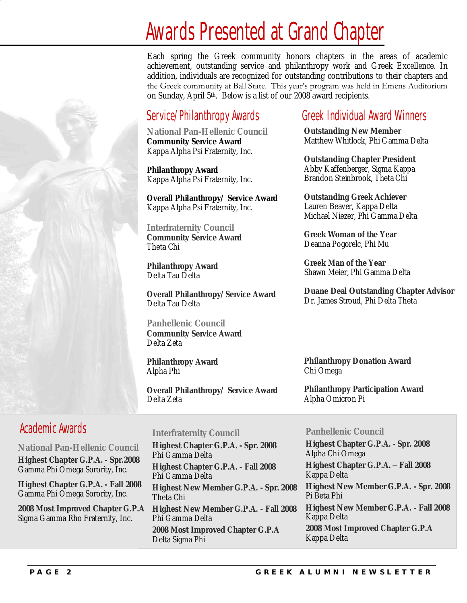## Awards Presented at Grand Chapter

Each spring the Greek community honors chapters in the areas of academic achievement, outstanding service and philanthropy work and Greek Excellence. In addition, individuals are recognized for outstanding contributions to their chapters and the Greek community at Ball State. This year's program was held in Emens Auditorium on Sunday, April 5th. Below is a list of our 2008 award recipients.

### Service/Philanthropy Awards

**National Pan-Hellenic Council Community Service Award** Kappa Alpha Psi Fraternity, Inc.

**Philanthropy Award** Kappa Alpha Psi Fraternity, Inc.

**Overall Philanthropy/ Service Award** Kappa Alpha Psi Fraternity, Inc.

**Interfraternity Council Community Service Award** Theta Chi

**Philanthropy Award** Delta Tau Delta

**Overall Philanthropy/Service Award** Delta Tau Delta

**Panhellenic Council Community Service Award** Delta Zeta

**Philanthropy Award** Alpha Phi

**Overall Philanthropy/ Service Award** Delta Zeta

### Greek Individual Award Winners

**Outstanding New Member** Matthew Whitlock, Phi Gamma Delta

**Outstanding Chapter President** Abby Kaffenberger, Sigma Kappa Brandon Steinbrook, Theta Chi

**Outstanding Greek Achiever** Lauren Beaver, Kappa Delta Michael Niezer, Phi Gamma Delta

**Greek Woman of the Year** Deanna Pogorelc, Phi Mu

**Greek Man of the Year** Shawn Meier, Phi Gamma Delta

**Duane Deal Outstanding Chapter Advisor** Dr. James Stroud, Phi Delta Theta

**Philanthropy Donation Award** Chi Omega

**Philanthropy Participation Award** Alpha Omicron Pi

### Academic Awards

 **National Pan-Hellenic Council Highest Chapter G.P.A. - Spr.2008** Gamma Phi Omega Sorority, Inc.

 **Highest Chapter G.P.A. - Fall 2008** Gamma Phi Omega Sorority, Inc.

 **2008 Most Improved Chapter G.P.A** Sigma Gamma Rho Fraternity, Inc.

#### **Interfraternity Council**

**Highest Chapter G.P.A. - Spr. 2008** Phi Gamma Delta **Highest Chapter G.P.A. - Fall 2008** Phi Gamma Delta **Highest New Member G.P.A. - Spr. 2008** Theta Chi **Highest New Member G.P.A. - Fall 2008** Phi Gamma Delta **2008 Most Improved Chapter G.P.A** Delta Sigma Phi

#### **Panhellenic Council**

**Highest Chapter G.P.A. - Spr. 2008** Alpha Chi Omega **Highest Chapter G.P.A. – Fall 2008** Kappa Delta **Highest New Member G.P.A. - Spr. 2008** Pi Beta Phi **Highest New Member G.P.A. - Fall 2008** Kappa Delta **2008 Most Improved Chapter G.P.A** Kappa Delta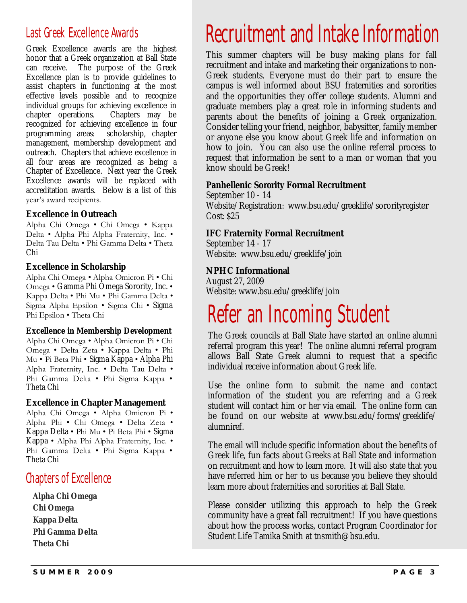### Last Greek Excellence Awards

Greek Excellence awards are the highest honor that a Greek organization at Ball State can receive. The purpose of the Greek Excellence plan is to provide guidelines to assist chapters in functioning at the most effective levels possible and to recognize individual groups for achieving excellence in chapter operations. Chapters may be recognized for achieving excellence in four programming areas: scholarship, chapter management, membership development and outreach. Chapters that achieve excellence in all four areas are recognized as being a Chapter of Excellence. Next year the Greek Excellence awards will be replaced with accreditation awards. Below is a list of this year's award recipients.

#### **Excellence in Outreach**

Alpha Chi Omega • Chi Omega • Kappa Delta • Alpha Phi Alpha Fraternity, Inc. • Delta Tau Delta • Phi Gamma Delta • Theta Chi

**Excellence in Scholarship**

Alpha Chi Omega • Alpha Omicron Pi • Chi Omega • Gamma Phi Omega Sorority, Inc. • Kappa Delta • Phi Mu • Phi Gamma Delta • Sigma Alpha Epsilon • Sigma Chi • Sigma Phi Epsilon • Theta Chi

**Excellence in Membership Development** Alpha Chi Omega • Alpha Omicron Pi • Chi Omega • Delta Zeta • Kappa Delta • Phi Mu • Pi Beta Phi • Sigma Kappa • Alpha Phi Alpha Fraternity, Inc. • Delta Tau Delta • Phi Gamma Delta • Phi Sigma Kappa • Theta Chi

#### **Excellence in Chapter Management**

Alpha Chi Omega • Alpha Omicron Pi • Alpha Phi • Chi Omega • Delta Zeta • Kappa Delta • Phi Mu • Pi Beta Phi • Sigma Kappa • Alpha Phi Alpha Fraternity, Inc. • Phi Gamma Delta • Phi Sigma Kappa • Theta Chi

### Chapters of Excellence

**Alpha Chi Omega Chi Omega Kappa Delta Phi Gamma Delta Theta Chi**

# Recruitment and Intake Information

This summer chapters will be busy making plans for fall recruitment and intake and marketing their organizations to non-Greek students. Everyone must do their part to ensure the campus is well informed about BSU fraternities and sororities and the opportunities they offer college students. Alumni and graduate members play a great role in informing students and parents about the benefits of joining a Greek organization. Consider telling your friend, neighbor, babysitter, family member or anyone else you know about Greek life and information on how to join. You can also use the online referral process to request that information be sent to a man or woman that you know should be Greek!

**Panhellenic Sorority Formal Recruitment** September 10 - 14 Website/Registration: www.bsu.edu/greeklife/sororityregister Cost: \$25

**IFC Fraternity Formal Recruitment** September 14 - 17 Website: www.bsu.edu/greeklife/join

**NPHC Informational** August 27, 2009 Website: www.bsu.edu/greeklife/join

### Refer an Incoming Student

The Greek councils at Ball State have started an online alumni referral program this year! The online alumni referral program allows Ball State Greek alumni to request that a specific individual receive information about Greek life.

Use the online form to submit the name and contact information of the student you are referring and a Greek student will contact him or her via email. The online form can be found on our website at www.bsu.edu/forms/greeklife/ alumniref.

The email will include specific information about the benefits of Greek life, fun facts about Greeks at Ball State and information on recruitment and how to learn more. It will also state that you have referred him or her to us because you believe they should learn more about fraternities and sororities at Ball State.

Please consider utilizing this approach to help the Greek community have a great fall recruitment! If you have questions about how the process works, contact Program Coordinator for Student Life Tamika Smith at tnsmith@bsu.edu.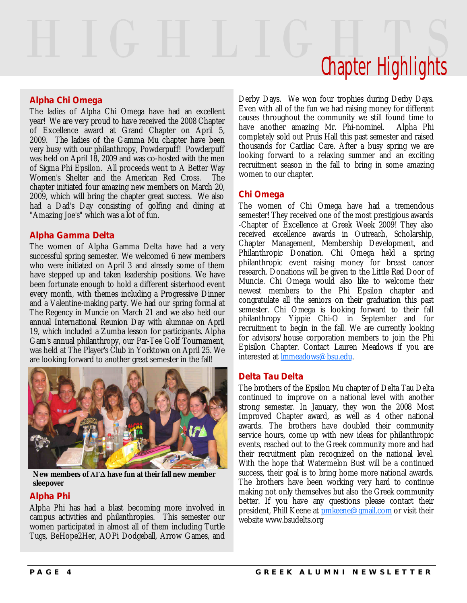# Chapter Highlights

#### **Alpha Chi Omega**

The ladies of Alpha Chi Omega have had an excellent year! We are very proud to have received the 2008 Chapter of Excellence award at Grand Chapter on April 5, 2009. The ladies of the Gamma Mu chapter have been very busy with our philanthropy, Powderpuff! Powderpuff was held on April 18, 2009 and was co-hosted with the men of Sigma Phi Epsilon. All proceeds went to A Better Way Women's Shelter and the American Red Cross. The chapter initiated four amazing new members on March 20, 2009, which will bring the chapter great success. We also had a Dad's Day consisting of golfing and dining at "Amazing Joe's" which was a lot of fun.

#### **Alpha Gamma Delta**

The women of Alpha Gamma Delta have had a very successful spring semester. We welcomed 6 new members who were initiated on April 3 and already some of them have stepped up and taken leadership positions. We have been fortunate enough to hold a different sisterhood event every month, with themes including a Progressive Dinner and a Valentine-making party. We had our spring formal at The Regency in Muncie on March 21 and we also held our annual International Reunion Day with alumnae on April 19, which included a Zumba lesson for participants. Alpha Gam's annual philanthropy, our Par-Tee Golf Tournament, was held at The Player's Club in Yorktown on April 25. We are looking forward to another great semester in the fall!



**New members of ΑΓΔ have fun at their fall new member sleepover**

#### **Alpha Phi**

Alpha Phi has had a blast becoming more involved in campus activities and philanthropies. This semester our women participated in almost all of them including Turtle Tugs, BeHope2Her, AOPi Dodgeball, Arrow Games, and Derby Days. We won four trophies during Derby Days. Even with all of the fun we had raising money for different causes throughout the community we still found time to have another amazing Mr. Phi-nominel. Alpha Phi completely sold out Pruis Hall this past semester and raised thousands for Cardiac Care. After a busy spring we are looking forward to a relaxing summer and an exciting recruitment season in the fall to bring in some amazing women to our chapter.

#### **Chi Omega**

The women of Chi Omega have had a tremendous semester! They received one of the most prestigious awards -Chapter of Excellence at Greek Week 2009! They also received excellence awards in Outreach, Scholarship, Chapter Management, Membership Development, and Philanthropic Donation. Chi Omega held a spring philanthropic event raising money for breast cancer research. Donations will be given to the Little Red Door of Muncie. Chi Omega would also like to welcome their newest members to the Phi Epsilon chapter and congratulate all the seniors on their graduation this past semester. Chi Omega is looking forward to their fall philanthropy Yippie Chi-O in September and for recruitment to begin in the fall. We are currently looking for advisors/house corporation members to join the Phi Episilon Chapter. Contact Lauren Meadows if you are interested at lmmeadows@bsu.edu.

#### **Delta Tau Delta**

The brothers of the Epsilon Mu chapter of Delta Tau Delta continued to improve on a national level with another strong semester. In January, they won the 2008 Most Improved Chapter award, as well as 4 other national awards. The brothers have doubled their community service hours, come up with new ideas for philanthropic events, reached out to the Greek community more and had their recruitment plan recognized on the national level. With the hope that Watermelon Bust will be a continued success, their goal is to bring home more national awards. The brothers have been working very hard to continue making not only themselves but also the Greek community better. If you have any questions please contact their president, Phill Keene at pmkeene@gmail.com or visit their website www.bsudelts.org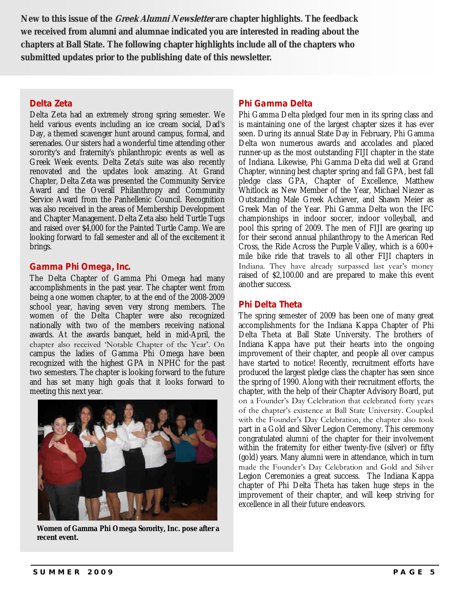**New to this issue of the Greek Alumni Newsletter are chapter highlights. The feedback we received from alumni and alumnae indicated you are interested in reading about the chapters at Ball State. The following chapter highlights include all of the chapters who submitted updates prior to the publishing date of this newsletter.**

#### **Delta Zeta**

Delta Zeta had an extremely strong spring semester. We held various events including an ice cream social, Dad's Day, a themed scavenger hunt around campus, formal, and serenades. Our sisters had a wonderful time attending other sorority's and fraternity's philanthropic events as well as Greek Week events. Delta Zeta's suite was also recently renovated and the updates look amazing. At Grand Chapter, Delta Zeta was presented the Community Service Award and the Overall Philanthropy and Community Service Award from the Panhellenic Council. Recognition was also received in the areas of Membership Development and Chapter Management. Delta Zeta also held Turtle Tugs and raised over \$4,000 for the Painted Turtle Camp. We are looking forward to fall semester and all of the excitement it brings.

#### **Gamma Phi Omega, Inc.**

The Delta Chapter of Gamma Phi Omega had many accomplishments in the past year. The chapter went from being a one women chapter, to at the end of the 2008-2009 school year, having seven very strong members. The women of the Delta Chapter were also recognized nationally with two of the members receiving national awards. At the awards banquet, held in mid-April, the chapter also received 'Notable Chapter of the Year'. On campus the ladies of Gamma Phi Omega have been recognized with the highest GPA in NPHC for the past two semesters. The chapter is looking forward to the future and has set many high goals that it looks forward to meeting this next year.



**Women of Gamma Phi Omega Sorority, Inc. pose after a recent event.**

#### **Phi Gamma Delta**

Phi Gamma Delta pledged four men in its spring class and is maintaining one of the largest chapter sizes it has ever seen. During its annual State Day in February, Phi Gamma Delta won numerous awards and accolades and placed runner-up as the most outstanding FIJI chapter in the state of Indiana. Likewise, Phi Gamma Delta did well at Grand Chapter, winning best chapter spring and fall GPA, best fall pledge class GPA, Chapter of Excellence, Matthew Whitlock as New Member of the Year, Michael Niezer as Outstanding Male Greek Achiever, and Shawn Meier as Greek Man of the Year. Phi Gamma Delta won the IFC championships in indoor soccer, indoor volleyball, and pool this spring of 2009. The men of FIJI are gearing up for their second annual philanthropy to the American Red Cross, the Ride Across the Purple Valley, which is a  $600+$ mile bike ride that travels to all other FIJI chapters in Indiana. They have already surpassed last year's money raised of \$2,100.00 and are prepared to make this event another success.

#### **Phi Delta Theta**

The spring semester of 2009 has been one of many great accomplishments for the Indiana Kappa Chapter of Phi Delta Theta at Ball State University. The brothers of Indiana Kappa have put their hearts into the ongoing improvement of their chapter, and people all over campus have started to notice! Recently, recruitment efforts have produced the largest pledge class the chapter has seen since the spring of 1990. Along with their recruitment efforts, the chapter, with the help of their Chapter Advisory Board, put on a Founder's Day Celebration that celebrated forty years of the chapter's existence at Ball State University. Coupled with the Founder's Day Celebration, the chapter also took part in a Gold and Silver Legion Ceremony. This ceremony congratulated alumni of the chapter for their involvement within the fraternity for either twenty-five (silver) or fifty (gold) years. Many alumni were in attendance, which in turn made the Founder's Day Celebration and Gold and Silver Legion Ceremonies a great success. The Indiana Kappa chapter of Phi Delta Theta has taken huge steps in the improvement of their chapter, and will keep striving for excellence in all their future endeavors.